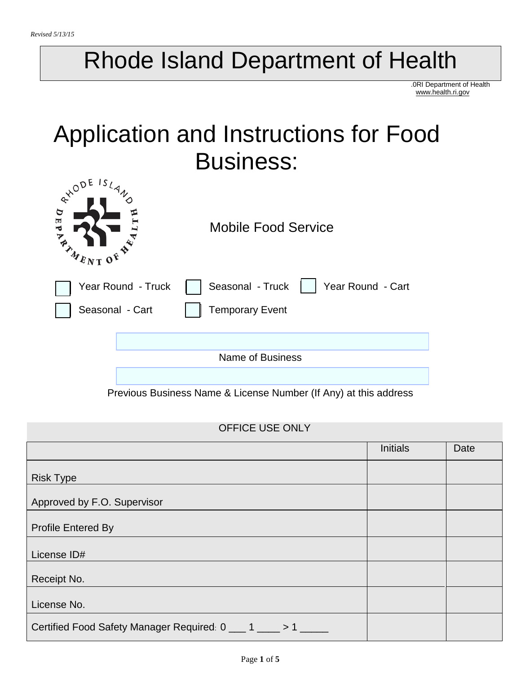# Rhode Island Department of Health

.0RI Department of Health www.health.ri.gov

# Application and Instructions for Food Business:

| $e^{x^{\alpha}}$<br>E<br><b>TANNENT O</b> | <b>Mobile Food Service</b>            |
|-------------------------------------------|---------------------------------------|
| Year Round - Truck                        | Seasonal - Truck<br>Year Round - Cart |
| Seasonal - Cart                           | <b>Temporary Event</b>                |
|                                           |                                       |
|                                           | <b>Name of Business</b>               |
|                                           |                                       |

Previous Business Name & License Number (If Any) at this address

#### OFFICE USE ONLY

|                                                             | <b>Initials</b> | Date |
|-------------------------------------------------------------|-----------------|------|
| <b>Risk Type</b>                                            |                 |      |
| Approved by F.O. Supervisor                                 |                 |      |
| <b>Profile Entered By</b>                                   |                 |      |
| License ID#                                                 |                 |      |
| Receipt No.                                                 |                 |      |
| License No.                                                 |                 |      |
| Certified Food Safety Manager Required: 0 ___ 1 ___ > 1 ___ |                 |      |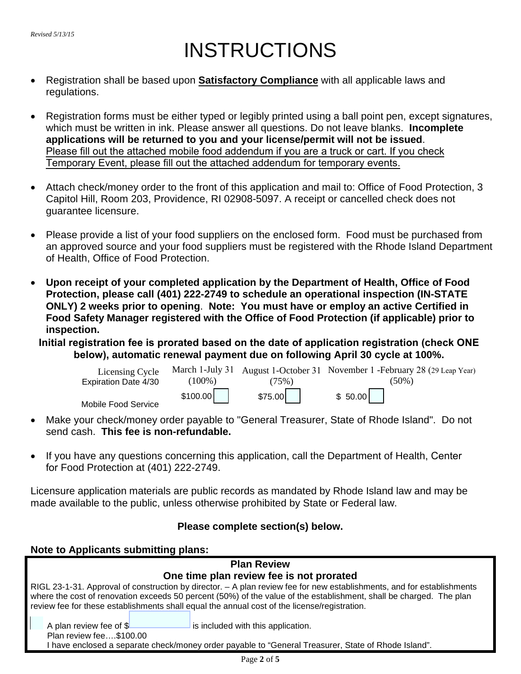## INSTRUCTIONS

- Registration shall be based upon **Satisfactory Compliance** with all applicable laws and regulations.
- Registration forms must be either typed or legibly printed using a ball point pen, except signatures, which must be written in ink. Please answer all questions. Do not leave blanks. **Incomplete applications will be returned to you and your license/permit will not be issued**. Please fill out the attached mobile food addendum if you are a truck or cart. If you check Temporary Event, please fill out the attached addendum for temporary events.
- Attach check/money order to the front of this application and mail to: Office of Food Protection, 3 Capitol Hill, Room 203, Providence, RI 02908-5097. A receipt or cancelled check does not guarantee licensure.
- Please provide a list of your food suppliers on the enclosed form. Food must be purchased from an approved source and your food suppliers must be registered with the Rhode Island Department of Health, Office of Food Protection.
- **Upon receipt of your completed application by the Department of Health, Office of Food Protection, please call (401) 222-2749 to schedule an operational inspection (IN-STATE ONLY) 2 weeks prior to opening**. **Note: You must have or employ an active Certified in Food Safety Manager registered with the Office of Food Protection (if applicable) prior to inspection.**

**Initial registration fee is prorated based on the date of application registration (check ONE below), automatic renewal payment due on following April 30 cycle at 100%.** 

| Licensing Cycle<br>Expiration Date 4/30 | $(100\%)$ | (75%)   | March 1-July 31 August 1-October 31 November 1 - February 28 (29 Leap Year)<br>$(50\%)$ |
|-----------------------------------------|-----------|---------|-----------------------------------------------------------------------------------------|
| Mobile Food Service                     | \$100.00  | \$75.00 | \$50.00                                                                                 |

- Make your check/money order payable to "General Treasurer, State of Rhode Island". Do not send cash. **This fee is non-refundable.**
- If you have any questions concerning this application, call the Department of Health, Center for Food Protection at (401) 222-2749.

Licensure application materials are public records as mandated by Rhode Island law and may be made available to the public, unless otherwise prohibited by State or Federal law.

#### **Please complete section(s) below.**

#### **Note to Applicants submitting plans:**

| <b>Plan Review</b>                                                                                                                                                                                                                                                                                                                            |  |  |
|-----------------------------------------------------------------------------------------------------------------------------------------------------------------------------------------------------------------------------------------------------------------------------------------------------------------------------------------------|--|--|
| One time plan review fee is not prorated                                                                                                                                                                                                                                                                                                      |  |  |
| RIGL 23-1-31. Approval of construction by director. – A plan review fee for new establishments, and for establishments<br>where the cost of renovation exceeds 50 percent (50%) of the value of the establishment, shall be charged. The plan<br>review fee for these establishments shall equal the annual cost of the license/registration. |  |  |
| A plan review fee of \$<br>is included with this application.                                                                                                                                                                                                                                                                                 |  |  |
| Plan review fee\$100.00<br>have enclosed a separate check/money order payable to "General Treasurer, State of Rhode Island".                                                                                                                                                                                                                  |  |  |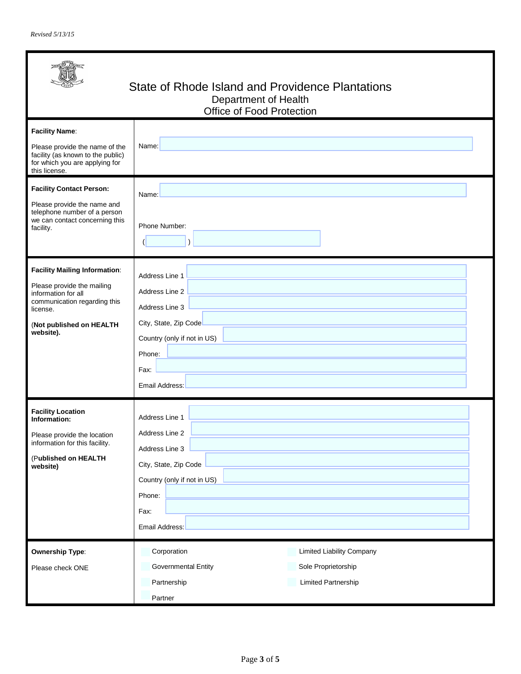| State of Rhode Island and Providence Plantations<br>Department of Health<br>Office of Food Protection                                                                                                                                                                                            |                                                                                                                                                       |  |
|--------------------------------------------------------------------------------------------------------------------------------------------------------------------------------------------------------------------------------------------------------------------------------------------------|-------------------------------------------------------------------------------------------------------------------------------------------------------|--|
| <b>Facility Name:</b><br>Please provide the name of the<br>facility (as known to the public)<br>for which you are applying for<br>this license.<br><b>Facility Contact Person:</b><br>Please provide the name and<br>telephone number of a person<br>we can contact concerning this<br>facility. | Name:<br>Name:<br>Phone Number:                                                                                                                       |  |
| <b>Facility Mailing Information:</b><br>Please provide the mailing<br>information for all<br>communication regarding this<br>license.<br>(Not published on HEALTH<br>website).                                                                                                                   | Address Line 1<br>Address Line 2<br>Address Line 3<br>City, State, Zip Code<br>Country (only if not in US)<br>Phone:<br>Fax:<br><b>Email Address:</b> |  |
| <b>Facility Location</b><br>Information:<br>Please provide the location<br>information for this facility.<br>(Published on HEALTH<br>website)                                                                                                                                                    | Address Line 1<br>Address Line 2<br>Address Line 3<br>City, State, Zip Code<br>Country (only if not in US)<br>Phone:<br>Fax:<br>Email Address:        |  |
| <b>Ownership Type:</b><br>Please check ONE                                                                                                                                                                                                                                                       | Corporation<br><b>Limited Liability Company</b><br><b>Governmental Entity</b><br>Sole Proprietorship<br>Limited Partnership<br>Partnership<br>Partner |  |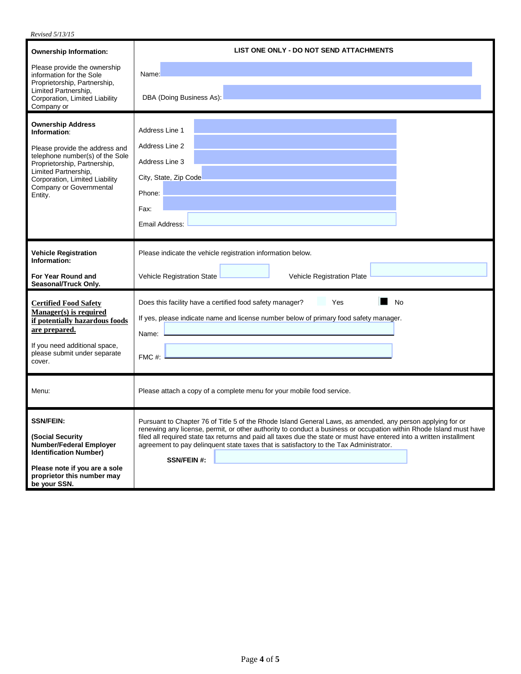| Revised 5/13/15                                                                                                                                                                                                                               |                                                                                                                                                                                                                                                                                                                                                                                                                                                                          |  |
|-----------------------------------------------------------------------------------------------------------------------------------------------------------------------------------------------------------------------------------------------|--------------------------------------------------------------------------------------------------------------------------------------------------------------------------------------------------------------------------------------------------------------------------------------------------------------------------------------------------------------------------------------------------------------------------------------------------------------------------|--|
| <b>Ownership Information:</b>                                                                                                                                                                                                                 | LIST ONE ONLY - DO NOT SEND ATTACHMENTS                                                                                                                                                                                                                                                                                                                                                                                                                                  |  |
| Please provide the ownership<br>information for the Sole                                                                                                                                                                                      | Name:                                                                                                                                                                                                                                                                                                                                                                                                                                                                    |  |
| Proprietorship, Partnership,<br>Limited Partnership,<br>Corporation, Limited Liability<br>Company or                                                                                                                                          | DBA (Doing Business As):                                                                                                                                                                                                                                                                                                                                                                                                                                                 |  |
| <b>Ownership Address</b><br>Information:<br>Please provide the address and<br>telephone number(s) of the Sole<br>Proprietorship, Partnership,<br>Limited Partnership,<br>Corporation, Limited Liability<br>Company or Governmental<br>Entity. | Address Line 1<br>Address Line 2<br>Address Line 3<br>City, State, Zip Code<br>Phone:<br>Fax:                                                                                                                                                                                                                                                                                                                                                                            |  |
|                                                                                                                                                                                                                                               | Email Address:                                                                                                                                                                                                                                                                                                                                                                                                                                                           |  |
| <b>Vehicle Registration</b><br>Information:<br>For Year Round and<br>Seasonal/Truck Only.                                                                                                                                                     | Please indicate the vehicle registration information below.<br>Vehicle Registration State<br>Vehicle Registration Plate                                                                                                                                                                                                                                                                                                                                                  |  |
| <b>Certified Food Safety</b><br>Manager(s) is required<br>if potentially hazardous foods<br>are prepared.<br>If you need additional space,<br>please submit under separate<br>cover.                                                          | Yes<br><b>No</b><br>Does this facility have a certified food safety manager?<br>If yes, please indicate name and license number below of primary food safety manager.<br>Name:<br>FMC#:                                                                                                                                                                                                                                                                                  |  |
| Menu:                                                                                                                                                                                                                                         | Please attach a copy of a complete menu for your mobile food service.                                                                                                                                                                                                                                                                                                                                                                                                    |  |
| <b>SSN/FEIN:</b><br>(Social Security<br><b>Number/Federal Employer</b><br><b>Identification Number)</b><br>Please note if you are a sole<br>proprietor this number may<br>be your SSN.                                                        | Pursuant to Chapter 76 of Title 5 of the Rhode Island General Laws, as amended, any person applying for or<br>renewing any license, permit, or other authority to conduct a business or occupation within Rhode Island must have<br>filed all required state tax returns and paid all taxes due the state or must have entered into a written installment<br>agreement to pay delinquent state taxes that is satisfactory to the Tax Administrator.<br><b>SSN/FEIN#:</b> |  |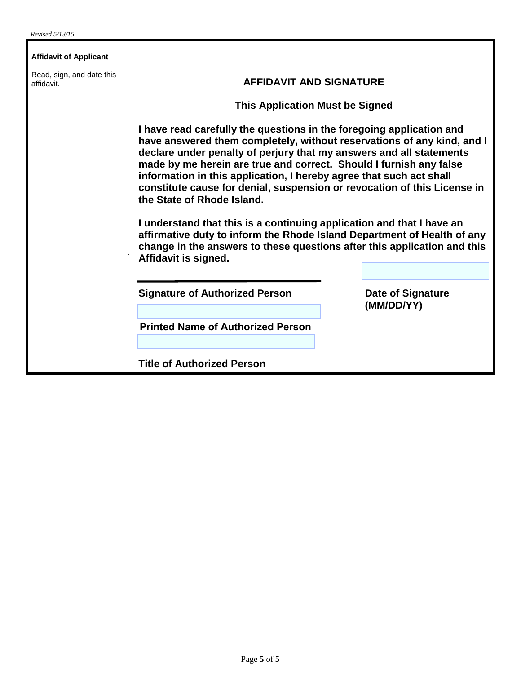| <b>Affidavit of Applicant</b>           |                                                                                                                                                                                                                                                                                                                                                                                                                                                                                                                                                                                                                                                                                                                                      |  |                                        |
|-----------------------------------------|--------------------------------------------------------------------------------------------------------------------------------------------------------------------------------------------------------------------------------------------------------------------------------------------------------------------------------------------------------------------------------------------------------------------------------------------------------------------------------------------------------------------------------------------------------------------------------------------------------------------------------------------------------------------------------------------------------------------------------------|--|----------------------------------------|
| Read, sign, and date this<br>affidavit. | <b>AFFIDAVIT AND SIGNATURE</b><br><b>This Application Must be Signed</b>                                                                                                                                                                                                                                                                                                                                                                                                                                                                                                                                                                                                                                                             |  |                                        |
|                                         |                                                                                                                                                                                                                                                                                                                                                                                                                                                                                                                                                                                                                                                                                                                                      |  |                                        |
|                                         | I have read carefully the questions in the foregoing application and<br>have answered them completely, without reservations of any kind, and I<br>declare under penalty of perjury that my answers and all statements<br>made by me herein are true and correct. Should I furnish any false<br>information in this application, I hereby agree that such act shall<br>constitute cause for denial, suspension or revocation of this License in<br>the State of Rhode Island.<br>I understand that this is a continuing application and that I have an<br>affirmative duty to inform the Rhode Island Department of Health of any<br>change in the answers to these questions after this application and this<br>Affidavit is signed. |  |                                        |
|                                         | <b>Signature of Authorized Person</b>                                                                                                                                                                                                                                                                                                                                                                                                                                                                                                                                                                                                                                                                                                |  | <b>Date of Signature</b><br>(MM/DD/YY) |
|                                         | <b>Printed Name of Authorized Person</b>                                                                                                                                                                                                                                                                                                                                                                                                                                                                                                                                                                                                                                                                                             |  |                                        |
|                                         | <b>Title of Authorized Person</b>                                                                                                                                                                                                                                                                                                                                                                                                                                                                                                                                                                                                                                                                                                    |  |                                        |

T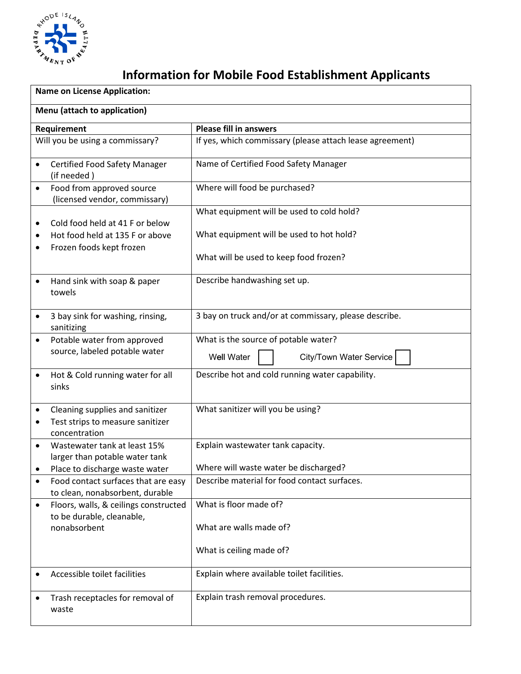

## **Information for Mobile Food Establishment Applicants**

| <b>Name on License Application:</b>                                                                 |                                                                                       |  |  |
|-----------------------------------------------------------------------------------------------------|---------------------------------------------------------------------------------------|--|--|
| Menu (attach to application)                                                                        |                                                                                       |  |  |
| Requirement                                                                                         | <b>Please fill in answers</b>                                                         |  |  |
| Will you be using a commissary?                                                                     | If yes, which commissary (please attach lease agreement)                              |  |  |
| <b>Certified Food Safety Manager</b><br>$\bullet$<br>(if needed)                                    | Name of Certified Food Safety Manager                                                 |  |  |
| Food from approved source<br>$\bullet$<br>(licensed vendor, commissary)                             | Where will food be purchased?                                                         |  |  |
| Cold food held at 41 F or below<br>٠<br>Hot food held at 135 F or above<br>Frozen foods kept frozen | What equipment will be used to cold hold?<br>What equipment will be used to hot hold? |  |  |
|                                                                                                     | What will be used to keep food frozen?                                                |  |  |
| Hand sink with soap & paper<br>$\bullet$<br>towels                                                  | Describe handwashing set up.                                                          |  |  |
| 3 bay sink for washing, rinsing,<br>$\bullet$<br>sanitizing                                         | 3 bay on truck and/or at commissary, please describe.                                 |  |  |
| Potable water from approved<br>$\bullet$<br>source, labeled potable water                           | What is the source of potable water?<br><b>Well Water</b><br>City/Town Water Service  |  |  |
| Hot & Cold running water for all<br>$\bullet$<br>sinks                                              | Describe hot and cold running water capability.                                       |  |  |
| Cleaning supplies and sanitizer<br>٠<br>Test strips to measure sanitizer<br>٠<br>concentration      | What sanitizer will you be using?                                                     |  |  |
| Wastewater tank at least 15%<br>$\bullet$<br>larger than potable water tank                         | Explain wastewater tank capacity.                                                     |  |  |
| Place to discharge waste water<br>Food contact surfaces that are easy<br>$\bullet$                  | Where will waste water be discharged?<br>Describe material for food contact surfaces. |  |  |
| to clean, nonabsorbent, durable<br>Floors, walls, & ceilings constructed<br>$\bullet$               | What is floor made of?                                                                |  |  |
| to be durable, cleanable,<br>nonabsorbent                                                           | What are walls made of?                                                               |  |  |
|                                                                                                     | What is ceiling made of?                                                              |  |  |
| Accessible toilet facilities                                                                        | Explain where available toilet facilities.                                            |  |  |
| Trash receptacles for removal of<br>٠<br>waste                                                      | Explain trash removal procedures.                                                     |  |  |